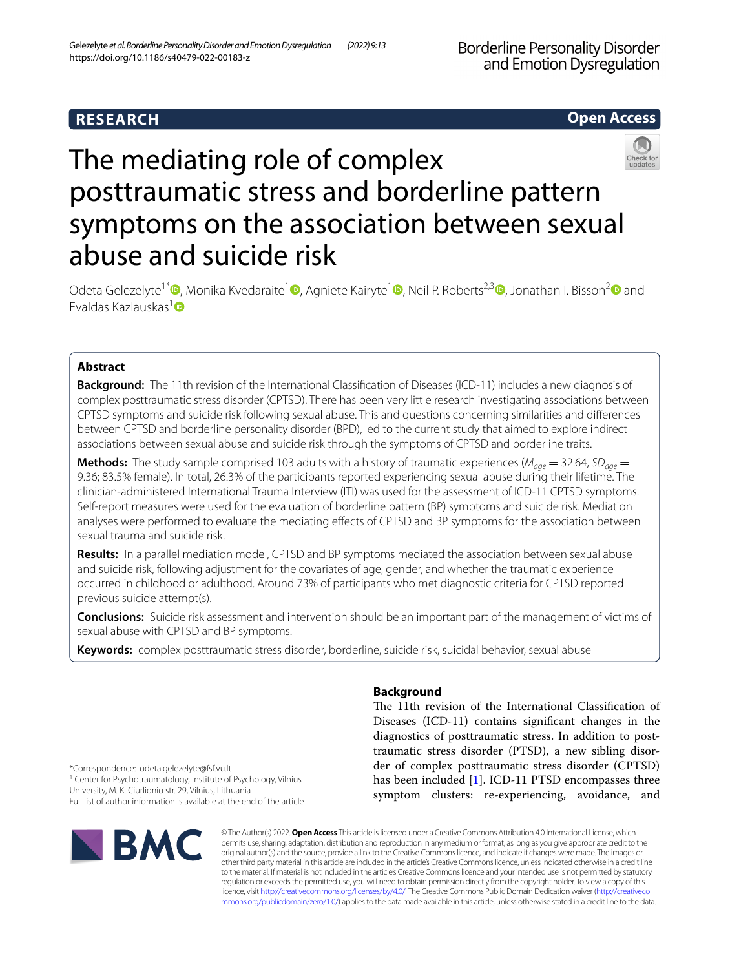# **RESEARCH**

# **Open Access**



# The mediating role of complex posttraumatic stress and borderline pattern symptoms on the association between sexual abuse and suicide risk

Odeta Gelezelyte<sup>1\*</sup><sup>®</sup>[,](https://orcid.org/0000-0001-8501-3502) Monika Kvedaraite<sup>1</sup><sup>®</sup>[,](https://orcid.org/0000-0003-2339-8632) Agniete Kairyte<sup>[1](https://orcid.org/0000-0002-6888-2869)</sup><sup>®</sup>, Neil P. Roberts<sup>2,[3](https://orcid.org/0000-0002-6277-0102)</sup><sup>®</sup>, Jonathan I. Bisson<sup>[2](https://orcid.org/0000-0001-5170-1243)</sup><sup>®</sup> and Evaldas Kazlauskas<sup>[1](https://orcid.org/0000-0002-6654-6220)</sup>

# **Abstract**

**Background:** The 11th revision of the International Classifcation of Diseases (ICD-11) includes a new diagnosis of complex posttraumatic stress disorder (CPTSD). There has been very little research investigating associations between CPTSD symptoms and suicide risk following sexual abuse. This and questions concerning similarities and diferences between CPTSD and borderline personality disorder (BPD), led to the current study that aimed to explore indirect associations between sexual abuse and suicide risk through the symptoms of CPTSD and borderline traits.

**Methods:** The study sample comprised 103 adults with a history of traumatic experiences ( $M_{q\alpha\rho} = 32.64$ ,  $SD_{q\alpha\rho} =$ 9.36; 83.5% female). In total, 26.3% of the participants reported experiencing sexual abuse during their lifetime. The clinician-administered International Trauma Interview (ITI) was used for the assessment of ICD-11 CPTSD symptoms. Self-report measures were used for the evaluation of borderline pattern (BP) symptoms and suicide risk. Mediation analyses were performed to evaluate the mediating efects of CPTSD and BP symptoms for the association between sexual trauma and suicide risk.

**Results:** In a parallel mediation model, CPTSD and BP symptoms mediated the association between sexual abuse and suicide risk, following adjustment for the covariates of age, gender, and whether the traumatic experience occurred in childhood or adulthood. Around 73% of participants who met diagnostic criteria for CPTSD reported previous suicide attempt(s).

**Conclusions:** Suicide risk assessment and intervention should be an important part of the management of victims of sexual abuse with CPTSD and BP symptoms.

**Keywords:** complex posttraumatic stress disorder, borderline, suicide risk, suicidal behavior, sexual abuse

# **Background**

The 11th revision of the International Classification of Diseases (ICD-11) contains signifcant changes in the diagnostics of posttraumatic stress. In addition to posttraumatic stress disorder (PTSD), a new sibling disorder of complex posttraumatic stress disorder (CPTSD) has been included [\[1\]](#page-6-0). ICD-11 PTSD encompasses three symptom clusters: re-experiencing, avoidance, and

\*Correspondence: odeta.gelezelyte@fsf.vu.lt <sup>1</sup> Center for Psychotraumatology, Institute of Psychology, Vilnius University, M. K. Ciurlionio str. 29, Vilnius, Lithuania Full list of author information is available at the end of the article



© The Author(s) 2022. **Open Access** This article is licensed under a Creative Commons Attribution 4.0 International License, which permits use, sharing, adaptation, distribution and reproduction in any medium or format, as long as you give appropriate credit to the original author(s) and the source, provide a link to the Creative Commons licence, and indicate if changes were made. The images or other third party material in this article are included in the article's Creative Commons licence, unless indicated otherwise in a credit line to the material. If material is not included in the article's Creative Commons licence and your intended use is not permitted by statutory regulation or exceeds the permitted use, you will need to obtain permission directly from the copyright holder. To view a copy of this licence, visit [http://creativecommons.org/licenses/by/4.0/.](http://creativecommons.org/licenses/by/4.0/) The Creative Commons Public Domain Dedication waiver ([http://creativeco](http://creativecommons.org/publicdomain/zero/1.0/) [mmons.org/publicdomain/zero/1.0/](http://creativecommons.org/publicdomain/zero/1.0/)) applies to the data made available in this article, unless otherwise stated in a credit line to the data.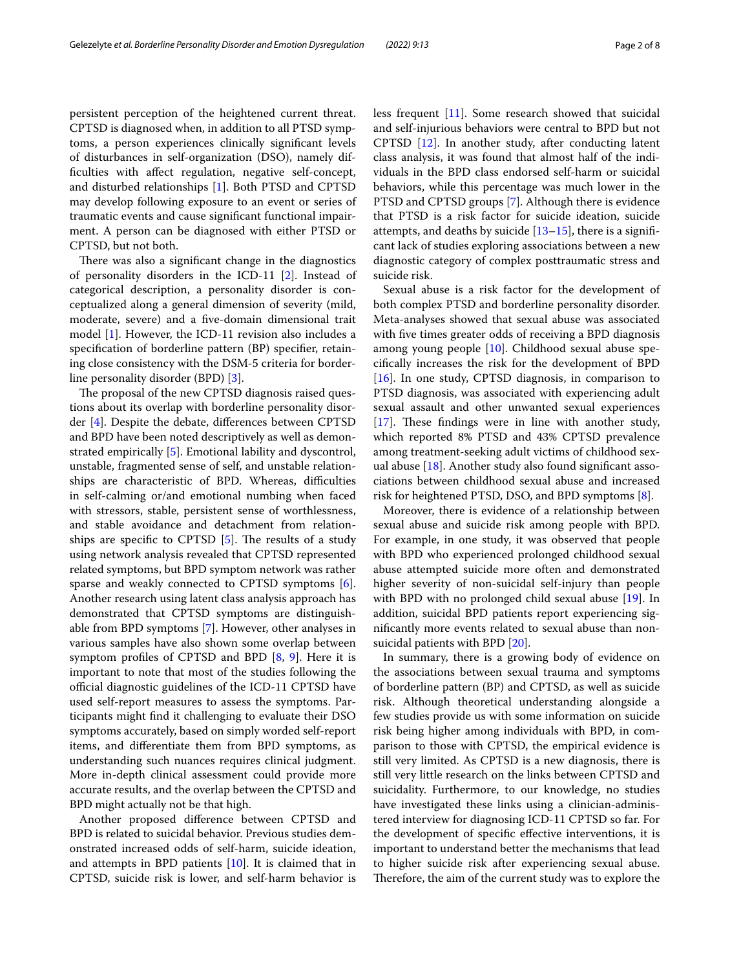persistent perception of the heightened current threat. CPTSD is diagnosed when, in addition to all PTSD symptoms, a person experiences clinically signifcant levels of disturbances in self-organization (DSO), namely diffculties with afect regulation, negative self-concept, and disturbed relationships [\[1](#page-6-0)]. Both PTSD and CPTSD may develop following exposure to an event or series of traumatic events and cause signifcant functional impairment. A person can be diagnosed with either PTSD or CPTSD, but not both.

There was also a significant change in the diagnostics of personality disorders in the ICD-11 [\[2](#page-6-1)]. Instead of categorical description, a personality disorder is conceptualized along a general dimension of severity (mild, moderate, severe) and a fve-domain dimensional trait model [[1\]](#page-6-0). However, the ICD-11 revision also includes a specifcation of borderline pattern (BP) specifer, retaining close consistency with the DSM-5 criteria for borderline personality disorder (BPD) [[3\]](#page-6-2).

The proposal of the new CPTSD diagnosis raised questions about its overlap with borderline personality disorder [[4\]](#page-6-3). Despite the debate, diferences between CPTSD and BPD have been noted descriptively as well as demonstrated empirically [[5\]](#page-6-4). Emotional lability and dyscontrol, unstable, fragmented sense of self, and unstable relationships are characteristic of BPD. Whereas, difficulties in self-calming or/and emotional numbing when faced with stressors, stable, persistent sense of worthlessness, and stable avoidance and detachment from relationships are specific to CPTSD  $[5]$  $[5]$ . The results of a study using network analysis revealed that CPTSD represented related symptoms, but BPD symptom network was rather sparse and weakly connected to CPTSD symptoms [\[6](#page-6-5)]. Another research using latent class analysis approach has demonstrated that CPTSD symptoms are distinguishable from BPD symptoms [[7\]](#page-6-6). However, other analyses in various samples have also shown some overlap between symptom profiles of CPTSD and BPD  $[8, 9]$  $[8, 9]$  $[8, 9]$  $[8, 9]$ . Here it is important to note that most of the studies following the official diagnostic guidelines of the ICD-11 CPTSD have used self-report measures to assess the symptoms. Participants might fnd it challenging to evaluate their DSO symptoms accurately, based on simply worded self-report items, and diferentiate them from BPD symptoms, as understanding such nuances requires clinical judgment. More in-depth clinical assessment could provide more accurate results, and the overlap between the CPTSD and BPD might actually not be that high.

Another proposed diference between CPTSD and BPD is related to suicidal behavior. Previous studies demonstrated increased odds of self-harm, suicide ideation, and attempts in BPD patients [\[10\]](#page-6-9). It is claimed that in CPTSD, suicide risk is lower, and self-harm behavior is less frequent [\[11\]](#page-6-10). Some research showed that suicidal and self-injurious behaviors were central to BPD but not CPTSD [[12\]](#page-6-11). In another study, after conducting latent class analysis, it was found that almost half of the individuals in the BPD class endorsed self-harm or suicidal behaviors, while this percentage was much lower in the PTSD and CPTSD groups [\[7](#page-6-6)]. Although there is evidence that PTSD is a risk factor for suicide ideation, suicide attempts, and deaths by suicide  $[13-15]$  $[13-15]$  $[13-15]$ , there is a significant lack of studies exploring associations between a new diagnostic category of complex posttraumatic stress and suicide risk.

Sexual abuse is a risk factor for the development of both complex PTSD and borderline personality disorder. Meta-analyses showed that sexual abuse was associated with fve times greater odds of receiving a BPD diagnosis among young people [\[10](#page-6-9)]. Childhood sexual abuse specifcally increases the risk for the development of BPD [[16\]](#page-7-1). In one study, CPTSD diagnosis, in comparison to PTSD diagnosis, was associated with experiencing adult sexual assault and other unwanted sexual experiences  $[17]$  $[17]$ . These findings were in line with another study, which reported 8% PTSD and 43% CPTSD prevalence among treatment-seeking adult victims of childhood sexual abuse [[18](#page-7-3)]. Another study also found signifcant associations between childhood sexual abuse and increased risk for heightened PTSD, DSO, and BPD symptoms [\[8](#page-6-7)].

Moreover, there is evidence of a relationship between sexual abuse and suicide risk among people with BPD. For example, in one study, it was observed that people with BPD who experienced prolonged childhood sexual abuse attempted suicide more often and demonstrated higher severity of non-suicidal self-injury than people with BPD with no prolonged child sexual abuse [\[19](#page-7-4)]. In addition, suicidal BPD patients report experiencing signifcantly more events related to sexual abuse than nonsuicidal patients with BPD [[20\]](#page-7-5).

In summary, there is a growing body of evidence on the associations between sexual trauma and symptoms of borderline pattern (BP) and CPTSD, as well as suicide risk. Although theoretical understanding alongside a few studies provide us with some information on suicide risk being higher among individuals with BPD, in comparison to those with CPTSD, the empirical evidence is still very limited. As CPTSD is a new diagnosis, there is still very little research on the links between CPTSD and suicidality. Furthermore, to our knowledge, no studies have investigated these links using a clinician-administered interview for diagnosing ICD-11 CPTSD so far. For the development of specifc efective interventions, it is important to understand better the mechanisms that lead to higher suicide risk after experiencing sexual abuse. Therefore, the aim of the current study was to explore the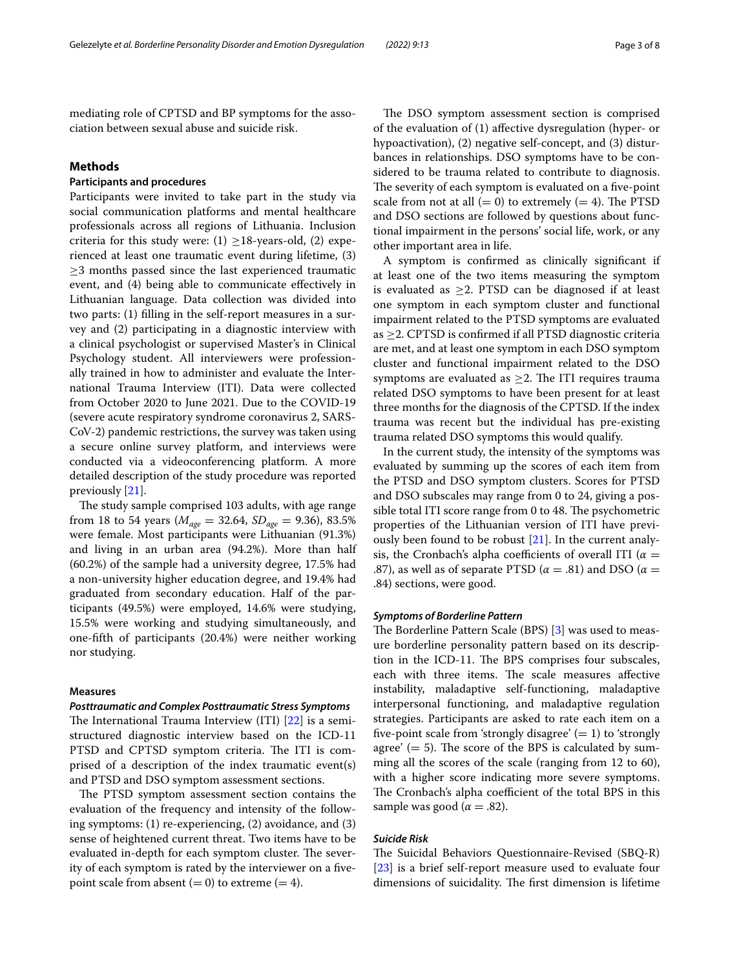mediating role of CPTSD and BP symptoms for the association between sexual abuse and suicide risk.

# **Methods**

# **Participants and procedures**

Participants were invited to take part in the study via social communication platforms and mental healthcare professionals across all regions of Lithuania. Inclusion criteria for this study were: (1)  $\geq$ 18-years-old, (2) experienced at least one traumatic event during lifetime, (3)  $\geq$ 3 months passed since the last experienced traumatic event, and (4) being able to communicate efectively in Lithuanian language. Data collection was divided into two parts: (1) flling in the self-report measures in a survey and (2) participating in a diagnostic interview with a clinical psychologist or supervised Master's in Clinical Psychology student. All interviewers were professionally trained in how to administer and evaluate the International Trauma Interview (ITI). Data were collected from October 2020 to June 2021. Due to the COVID-19 (severe acute respiratory syndrome coronavirus 2, SARS-CoV-2) pandemic restrictions, the survey was taken using a secure online survey platform, and interviews were conducted via a videoconferencing platform. A more detailed description of the study procedure was reported previously [\[21](#page-7-6)].

The study sample comprised 103 adults, with age range from 18 to 54 years ( $M_{\text{age}} = 32.64$ ,  $SD_{\text{age}} = 9.36$ ), 83.5% were female. Most participants were Lithuanian (91.3%) and living in an urban area (94.2%). More than half (60.2%) of the sample had a university degree, 17.5% had a non-university higher education degree, and 19.4% had graduated from secondary education. Half of the participants (49.5%) were employed, 14.6% were studying, 15.5% were working and studying simultaneously, and one-ffth of participants (20.4%) were neither working nor studying.

# **Measures**

### *Posttraumatic and Complex Posttraumatic Stress Symptoms*

The International Trauma Interview (ITI)  $[22]$  $[22]$  is a semistructured diagnostic interview based on the ICD-11 PTSD and CPTSD symptom criteria. The ITI is comprised of a description of the index traumatic event(s) and PTSD and DSO symptom assessment sections.

The PTSD symptom assessment section contains the evaluation of the frequency and intensity of the following symptoms: (1) re-experiencing, (2) avoidance, and (3) sense of heightened current threat. Two items have to be evaluated in-depth for each symptom cluster. The severity of each symptom is rated by the interviewer on a fvepoint scale from absent  $(= 0)$  to extreme  $(= 4)$ .

The DSO symptom assessment section is comprised of the evaluation of (1) afective dysregulation (hyper- or hypoactivation), (2) negative self-concept, and (3) disturbances in relationships. DSO symptoms have to be considered to be trauma related to contribute to diagnosis. The severity of each symptom is evaluated on a five-point scale from not at all  $(= 0)$  to extremely  $(= 4)$ . The PTSD and DSO sections are followed by questions about functional impairment in the persons' social life, work, or any other important area in life.

A symptom is confrmed as clinically signifcant if at least one of the two items measuring the symptom is evaluated as ≥2. PTSD can be diagnosed if at least one symptom in each symptom cluster and functional impairment related to the PTSD symptoms are evaluated as  $\geq$  2. CPTSD is confirmed if all PTSD diagnostic criteria are met, and at least one symptom in each DSO symptom cluster and functional impairment related to the DSO symptoms are evaluated as  $\geq$ 2. The ITI requires trauma related DSO symptoms to have been present for at least three months for the diagnosis of the CPTSD. If the index trauma was recent but the individual has pre-existing trauma related DSO symptoms this would qualify.

In the current study, the intensity of the symptoms was evaluated by summing up the scores of each item from the PTSD and DSO symptom clusters. Scores for PTSD and DSO subscales may range from 0 to 24, giving a possible total ITI score range from 0 to 48. The psychometric properties of the Lithuanian version of ITI have previously been found to be robust [[21](#page-7-6)]. In the current analysis, the Cronbach's alpha coefficients of overall ITI ( $\alpha =$ .87), as well as of separate PTSD ( $\alpha = .81$ ) and DSO ( $\alpha =$ .84) sections, were good.

### *Symptoms of Borderline Pattern*

The Borderline Pattern Scale (BPS) [\[3\]](#page-6-2) was used to measure borderline personality pattern based on its description in the ICD-11. The BPS comprises four subscales, each with three items. The scale measures affective instability, maladaptive self-functioning, maladaptive interpersonal functioning, and maladaptive regulation strategies. Participants are asked to rate each item on a five-point scale from 'strongly disagree'  $(= 1)$  to 'strongly agree'  $(= 5)$ . The score of the BPS is calculated by summing all the scores of the scale (ranging from 12 to 60), with a higher score indicating more severe symptoms. The Cronbach's alpha coefficient of the total BPS in this sample was good ( $\alpha = .82$ ).

#### *Suicide Risk*

The Suicidal Behaviors Questionnaire-Revised (SBQ-R) [[23\]](#page-7-8) is a brief self-report measure used to evaluate four dimensions of suicidality. The first dimension is lifetime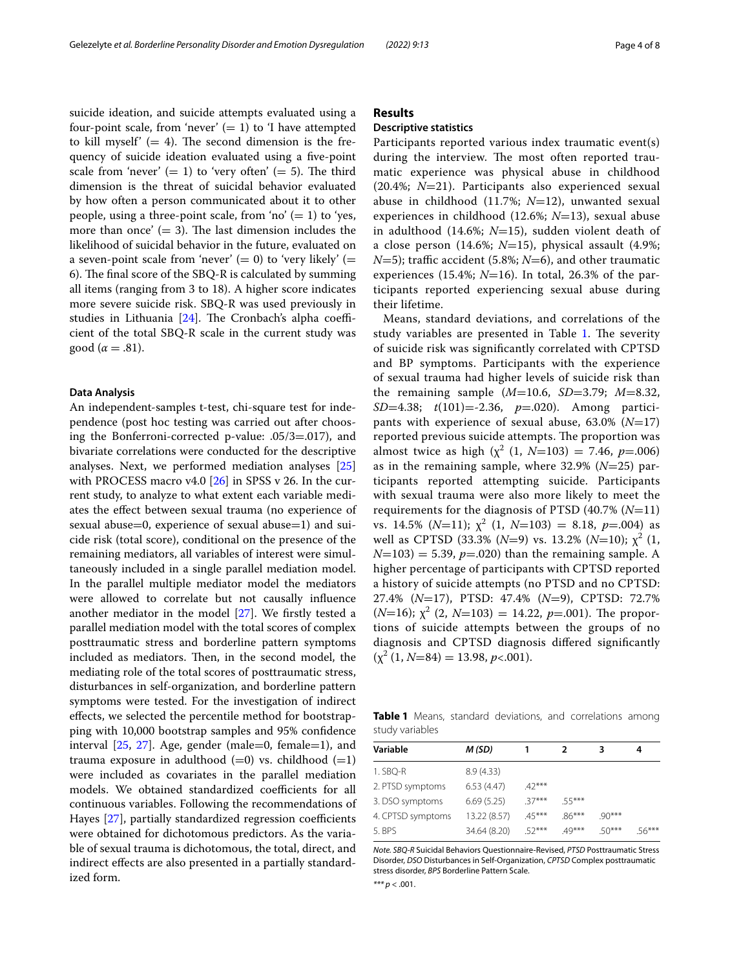suicide ideation, and suicide attempts evaluated using a four-point scale, from 'never'  $(= 1)$  to 'I have attempted to kill myself'  $(= 4)$ . The second dimension is the frequency of suicide ideation evaluated using a fve-point scale from 'never'  $(= 1)$  to 'very often'  $(= 5)$ . The third dimension is the threat of suicidal behavior evaluated by how often a person communicated about it to other people, using a three-point scale, from 'no'  $(= 1)$  to 'yes, more than once'  $(= 3)$ . The last dimension includes the likelihood of suicidal behavior in the future, evaluated on a seven-point scale from 'never'  $(= 0)$  to 'very likely'  $(= 0)$ 6). The final score of the SBQ-R is calculated by summing all items (ranging from 3 to 18). A higher score indicates more severe suicide risk. SBQ-R was used previously in studies in Lithuania  $[24]$  $[24]$ . The Cronbach's alpha coefficient of the total SBQ-R scale in the current study was good ( $\alpha = .81$ ).

# **Data Analysis**

An independent-samples t-test, chi-square test for independence (post hoc testing was carried out after choosing the Bonferroni-corrected p-value: .05/3=.017), and bivariate correlations were conducted for the descriptive analyses. Next, we performed mediation analyses [[25](#page-7-10)] with PROCESS macro v4.0 [\[26\]](#page-7-11) in SPSS v 26. In the current study, to analyze to what extent each variable mediates the efect between sexual trauma (no experience of sexual abuse=0, experience of sexual abuse=1) and suicide risk (total score), conditional on the presence of the remaining mediators, all variables of interest were simultaneously included in a single parallel mediation model. In the parallel multiple mediator model the mediators were allowed to correlate but not causally infuence another mediator in the model [\[27](#page-7-12)]. We frstly tested a parallel mediation model with the total scores of complex posttraumatic stress and borderline pattern symptoms included as mediators. Then, in the second model, the mediating role of the total scores of posttraumatic stress, disturbances in self-organization, and borderline pattern symptoms were tested. For the investigation of indirect efects, we selected the percentile method for bootstrapping with 10,000 bootstrap samples and 95% confdence interval  $[25, 27]$  $[25, 27]$  $[25, 27]$  $[25, 27]$ . Age, gender (male=0, female=1), and trauma exposure in adulthood  $(=0)$  vs. childhood  $(=1)$ were included as covariates in the parallel mediation models. We obtained standardized coefficients for all continuous variables. Following the recommendations of Hayes  $[27]$  $[27]$ , partially standardized regression coefficients were obtained for dichotomous predictors. As the variable of sexual trauma is dichotomous, the total, direct, and indirect efects are also presented in a partially standardized form.

# **Results**

# **Descriptive statistics**

Participants reported various index traumatic event(s) during the interview. The most often reported traumatic experience was physical abuse in childhood (20.4%; *N*=21). Participants also experienced sexual abuse in childhood (11.7%; *N*=12), unwanted sexual experiences in childhood (12.6%; *N*=13), sexual abuse in adulthood (14.6%; *N*=15), sudden violent death of a close person (14.6%; *N*=15), physical assault (4.9%;  $N=5$ ; traffic accident (5.8%;  $N=6$ ), and other traumatic experiences (15.4%;  $N=16$ ). In total, 26.3% of the participants reported experiencing sexual abuse during their lifetime.

Means, standard deviations, and correlations of the study variables are presented in Table [1.](#page-3-0) The severity of suicide risk was signifcantly correlated with CPTSD and BP symptoms. Participants with the experience of sexual trauma had higher levels of suicide risk than the remaining sample (*M*=10.6, *SD*=3.79; *M*=8.32, *SD*=4.38; *t*(101)=-2.36, *p*=.020). Among participants with experience of sexual abuse, 63.0% (*N*=17) reported previous suicide attempts. The proportion was almost twice as high  $(\chi^2 (1, N=103) = 7.46, p=.006)$ as in the remaining sample, where 32.9% (*N*=25) participants reported attempting suicide. Participants with sexual trauma were also more likely to meet the requirements for the diagnosis of PTSD (40.7% (*N*=11) vs. 14.5% ( $N=11$ );  $\chi^2$  (1,  $N=103$ ) = 8.18,  $p=.004$ ) as well as CPTSD (33.3%  $(N=9)$  vs. 13.2%  $(N=10)$ ;  $\chi^2$  (1,  $N=103$ ) = 5.39,  $p=.020$ ) than the remaining sample. A higher percentage of participants with CPTSD reported a history of suicide attempts (no PTSD and no CPTSD: 27.4% (*N*=17), PTSD: 47.4% (*N*=9), CPTSD: 72.7%  $(N=16)$ ;  $\chi^2$  (2,  $N=103$ ) = 14.22,  $p=.001$ ). The proportions of suicide attempts between the groups of no diagnosis and CPTSD diagnosis difered signifcantly  $(\chi^2(1, N=84) = 13.98, p<.001).$ 

<span id="page-3-0"></span>**Table 1** Means, standard deviations, and correlations among study variables

| Variable          | M (SD)       |          | 2        | 3        | 4        |
|-------------------|--------------|----------|----------|----------|----------|
| 1. SBQ-R          | 8.9(4.33)    |          |          |          |          |
| 2. PTSD symptoms  | 6.53(4.47)   | $42***$  |          |          |          |
| 3. DSO symptoms   | 6.69(5.25)   | $37***$  | 55***    |          |          |
| 4. CPTSD symptoms | 13.22 (8.57) | $.45***$ | $.86***$ | $90***$  |          |
| 5. BPS            | 34.64 (8.20) | 52***    | $.49***$ | $.50***$ | $.56***$ |
|                   |              |          |          |          |          |

*Note. SBQ-R* Suicidal Behaviors Questionnaire-Revised, *PTSD* Posttraumatic Stress Disorder, *DSO* Disturbances in Self-Organization, *CPTSD* Complex posttraumatic stress disorder, *BPS* Borderline Pattern Scale.

*\*\*\* p* < .001.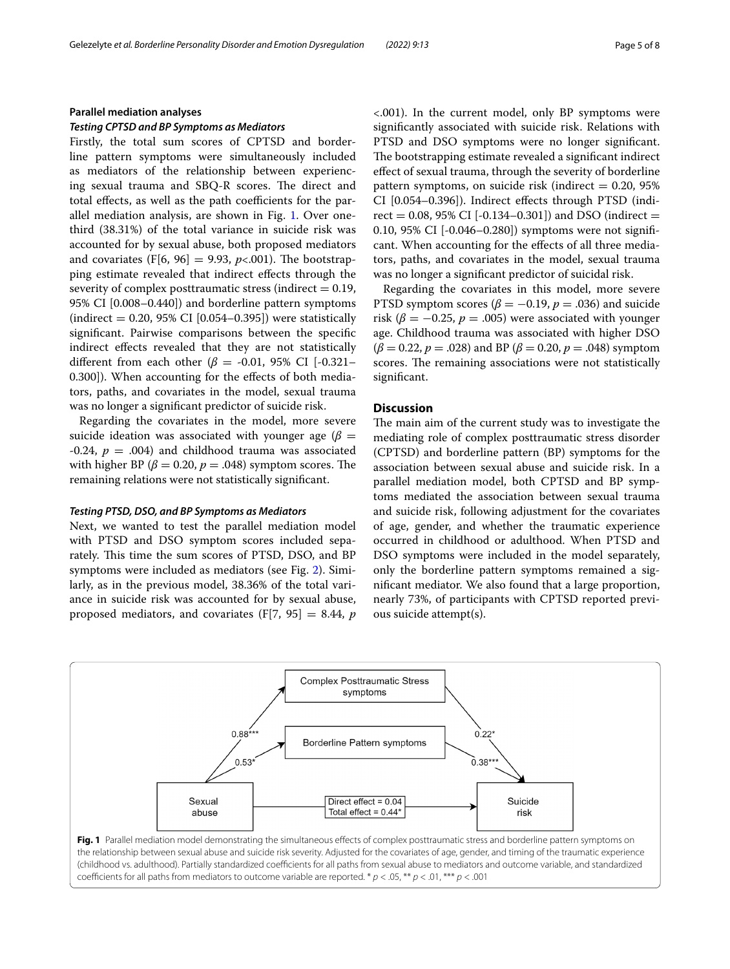## **Parallel mediation analyses**

# *Testing CPTSD and BP Symptoms as Mediators*

Firstly, the total sum scores of CPTSD and borderline pattern symptoms were simultaneously included as mediators of the relationship between experiencing sexual trauma and SBQ-R scores. The direct and total effects, as well as the path coefficients for the parallel mediation analysis, are shown in Fig. [1.](#page-4-0) Over onethird (38.31%) of the total variance in suicide risk was accounted for by sexual abuse, both proposed mediators and covariates  $(F[6, 96] = 9.93, p<.001)$ . The bootstrapping estimate revealed that indirect effects through the severity of complex posttraumatic stress (indirect  $= 0.19$ , 95% CI [0.008–0.440]) and borderline pattern symptoms  $(indirect = 0.20, 95\% CI [0.054–0.395])$  were statistically signifcant. Pairwise comparisons between the specifc indirect efects revealed that they are not statistically different from each other ( $\beta$  = -0.01, 95% CI [-0.321-0.300]). When accounting for the efects of both mediators, paths, and covariates in the model, sexual trauma was no longer a signifcant predictor of suicide risk.

Regarding the covariates in the model, more severe suicide ideation was associated with younger age ( $\beta$  = -0.24,  $p = .004$ ) and childhood trauma was associated with higher BP ( $\beta$  = 0.20,  $p$  = .048) symptom scores. The remaining relations were not statistically signifcant.

## *Testing PTSD, DSO, and BP Symptoms as Mediators*

Next, we wanted to test the parallel mediation model with PTSD and DSO symptom scores included separately. This time the sum scores of PTSD, DSO, and BP symptoms were included as mediators (see Fig. [2](#page-5-0)). Similarly, as in the previous model, 38.36% of the total variance in suicide risk was accounted for by sexual abuse, proposed mediators, and covariates (F[7, 95] = 8.44, *p*

<.001). In the current model, only BP symptoms were signifcantly associated with suicide risk. Relations with PTSD and DSO symptoms were no longer signifcant. The bootstrapping estimate revealed a significant indirect efect of sexual trauma, through the severity of borderline pattern symptoms, on suicide risk (indirect  $= 0.20, 95\%$ CI [0.054–0.396]). Indirect efects through PTSD (indirect = 0.08, 95% CI [-0.134–0.301]) and DSO (indirect = 0.10, 95% CI [-0.046–0.280]) symptoms were not signifcant. When accounting for the efects of all three mediators, paths, and covariates in the model, sexual trauma was no longer a signifcant predictor of suicidal risk.

Regarding the covariates in this model, more severe PTSD symptom scores ( $\beta$  = -0.19,  $p$  = .036) and suicide risk ( $\beta = -0.25$ ,  $p = .005$ ) were associated with younger age. Childhood trauma was associated with higher DSO (*β* = 0.22, *p* = .028) and BP (*β* = 0.20, *p* = .048) symptom scores. The remaining associations were not statistically signifcant.

# **Discussion**

The main aim of the current study was to investigate the mediating role of complex posttraumatic stress disorder (CPTSD) and borderline pattern (BP) symptoms for the association between sexual abuse and suicide risk. In a parallel mediation model, both CPTSD and BP symptoms mediated the association between sexual trauma and suicide risk, following adjustment for the covariates of age, gender, and whether the traumatic experience occurred in childhood or adulthood. When PTSD and DSO symptoms were included in the model separately, only the borderline pattern symptoms remained a signifcant mediator. We also found that a large proportion, nearly 73%, of participants with CPTSD reported previous suicide attempt(s).

<span id="page-4-0"></span>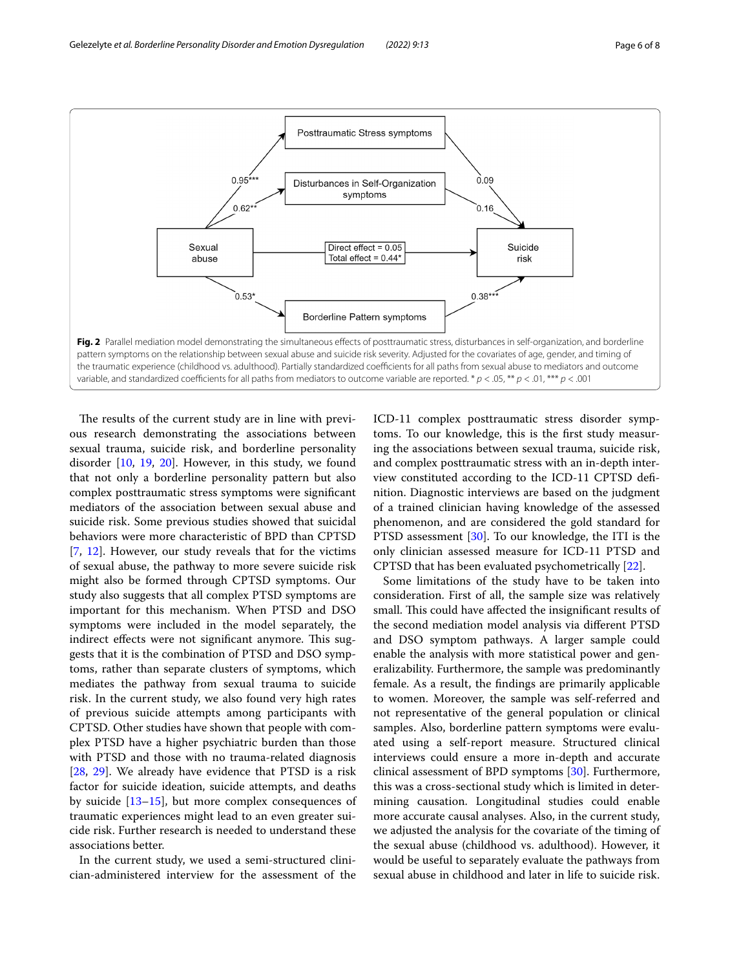

<span id="page-5-0"></span>The results of the current study are in line with previous research demonstrating the associations between sexual trauma, suicide risk, and borderline personality disorder [\[10,](#page-6-9) [19,](#page-7-4) [20](#page-7-5)]. However, in this study, we found that not only a borderline personality pattern but also complex posttraumatic stress symptoms were signifcant mediators of the association between sexual abuse and suicide risk. Some previous studies showed that suicidal behaviors were more characteristic of BPD than CPTSD [[7,](#page-6-6) [12\]](#page-6-11). However, our study reveals that for the victims of sexual abuse, the pathway to more severe suicide risk might also be formed through CPTSD symptoms. Our study also suggests that all complex PTSD symptoms are important for this mechanism. When PTSD and DSO symptoms were included in the model separately, the indirect effects were not significant anymore. This suggests that it is the combination of PTSD and DSO symptoms, rather than separate clusters of symptoms, which mediates the pathway from sexual trauma to suicide risk. In the current study, we also found very high rates of previous suicide attempts among participants with CPTSD. Other studies have shown that people with complex PTSD have a higher psychiatric burden than those with PTSD and those with no trauma-related diagnosis [[28,](#page-7-13) [29\]](#page-7-14). We already have evidence that PTSD is a risk factor for suicide ideation, suicide attempts, and deaths by suicide [[13–](#page-6-12)[15](#page-7-0)], but more complex consequences of traumatic experiences might lead to an even greater suicide risk. Further research is needed to understand these associations better.

In the current study, we used a semi-structured clinician-administered interview for the assessment of the ICD-11 complex posttraumatic stress disorder symptoms. To our knowledge, this is the frst study measuring the associations between sexual trauma, suicide risk, and complex posttraumatic stress with an in-depth interview constituted according to the ICD-11 CPTSD defnition. Diagnostic interviews are based on the judgment of a trained clinician having knowledge of the assessed phenomenon, and are considered the gold standard for PTSD assessment [\[30](#page-7-15)]. To our knowledge, the ITI is the only clinician assessed measure for ICD-11 PTSD and CPTSD that has been evaluated psychometrically [[22](#page-7-7)].

Some limitations of the study have to be taken into consideration. First of all, the sample size was relatively small. This could have affected the insignificant results of the second mediation model analysis via diferent PTSD and DSO symptom pathways. A larger sample could enable the analysis with more statistical power and generalizability. Furthermore, the sample was predominantly female. As a result, the fndings are primarily applicable to women. Moreover, the sample was self-referred and not representative of the general population or clinical samples. Also, borderline pattern symptoms were evaluated using a self-report measure. Structured clinical interviews could ensure a more in-depth and accurate clinical assessment of BPD symptoms [[30\]](#page-7-15). Furthermore, this was a cross-sectional study which is limited in determining causation. Longitudinal studies could enable more accurate causal analyses. Also, in the current study, we adjusted the analysis for the covariate of the timing of the sexual abuse (childhood vs. adulthood). However, it would be useful to separately evaluate the pathways from sexual abuse in childhood and later in life to suicide risk.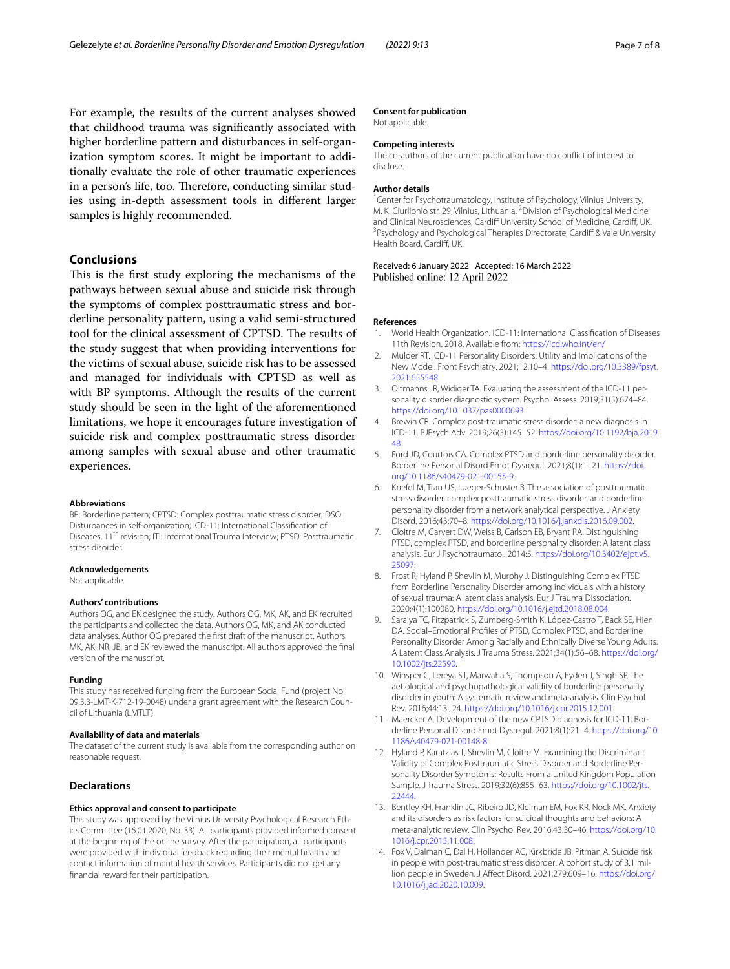For example, the results of the current analyses showed that childhood trauma was signifcantly associated with higher borderline pattern and disturbances in self-organization symptom scores. It might be important to additionally evaluate the role of other traumatic experiences in a person's life, too. Therefore, conducting similar studies using in-depth assessment tools in diferent larger samples is highly recommended.

# **Conclusions**

This is the first study exploring the mechanisms of the pathways between sexual abuse and suicide risk through the symptoms of complex posttraumatic stress and borderline personality pattern, using a valid semi-structured tool for the clinical assessment of CPTSD. The results of the study suggest that when providing interventions for the victims of sexual abuse, suicide risk has to be assessed and managed for individuals with CPTSD as well as with BP symptoms. Although the results of the current study should be seen in the light of the aforementioned limitations, we hope it encourages future investigation of suicide risk and complex posttraumatic stress disorder among samples with sexual abuse and other traumatic experiences.

#### **Abbreviations**

BP: Borderline pattern; CPTSD: Complex posttraumatic stress disorder; DSO: Disturbances in self-organization; ICD-11: International Classifcation of Diseases, 11<sup>th</sup> revision; ITI: International Trauma Interview; PTSD: Posttraumatic stress disorder.

#### **Acknowledgements**

Not applicable.

#### **Authors' contributions**

Authors OG, and EK designed the study. Authors OG, MK, AK, and EK recruited the participants and collected the data. Authors OG, MK, and AK conducted data analyses. Author OG prepared the frst draft of the manuscript. Authors MK, AK, NR, JB, and EK reviewed the manuscript. All authors approved the fnal version of the manuscript.

#### **Funding**

This study has received funding from the European Social Fund (project No 09.3.3-LMT-K-712-19-0048) under a grant agreement with the Research Council of Lithuania (LMTLT).

#### **Availability of data and materials**

The dataset of the current study is available from the corresponding author on reasonable request.

#### **Declarations**

#### **Ethics approval and consent to participate**

This study was approved by the Vilnius University Psychological Research Ethics Committee (16.01.2020, No. 33). All participants provided informed consent at the beginning of the online survey. After the participation, all participants were provided with individual feedback regarding their mental health and contact information of mental health services. Participants did not get any fnancial reward for their participation.

#### **Consent for publication**

Not applicable.

# **Competing interests**

The co-authors of the current publication have no confict of interest to disclose.

#### **Author details**

<sup>1</sup> Center for Psychotraumatology, Institute of Psychology, Vilnius University, M. K. Ciurlionio str. 29, Vilnius, Lithuania. <sup>2</sup> Division of Psychological Medicine and Clinical Neurosciences, Cardiff University School of Medicine, Cardiff, UK. <sup>3</sup> Psychology and Psychological Therapies Directorate, Cardiff & Vale University Health Board, Cardif, UK.

Received: 6 January 2022 Accepted: 16 March 2022 Published online: 12 April 2022

#### **References**

- <span id="page-6-0"></span>1. World Health Organization. ICD-11: International Classifcation of Diseases 11th Revision. 2018. Available from:<https://icd.who.int/en/>
- <span id="page-6-1"></span>2. Mulder RT. ICD-11 Personality Disorders: Utility and Implications of the New Model. Front Psychiatry. 2021;12:10–4. [https://doi.org/10.3389/fpsyt.](https://doi.org/10.3389/fpsyt.2021.655548) [2021.655548.](https://doi.org/10.3389/fpsyt.2021.655548)
- <span id="page-6-2"></span>3. Oltmanns JR, Widiger TA. Evaluating the assessment of the ICD-11 personality disorder diagnostic system. Psychol Assess. 2019;31(5):674–84. [https://doi.org/10.1037/pas0000693.](https://doi.org/10.1037/pas0000693)
- <span id="page-6-3"></span>4. Brewin CR. Complex post-traumatic stress disorder: a new diagnosis in ICD-11. BJPsych Adv. 2019;26(3):145–52. [https://doi.org/10.1192/bja.2019.](https://doi.org/10.1192/bja.2019.48) [48](https://doi.org/10.1192/bja.2019.48).
- <span id="page-6-4"></span>5. Ford JD, Courtois CA. Complex PTSD and borderline personality disorder. Borderline Personal Disord Emot Dysregul. 2021;8(1):1–21. [https://doi.](https://doi.org/10.1186/s40479-021-00155-9) [org/10.1186/s40479-021-00155-9](https://doi.org/10.1186/s40479-021-00155-9).
- <span id="page-6-5"></span>6. Knefel M, Tran US, Lueger-Schuster B. The association of posttraumatic stress disorder, complex posttraumatic stress disorder, and borderline personality disorder from a network analytical perspective. J Anxiety Disord. 2016;43:70–8.<https://doi.org/10.1016/j.janxdis.2016.09.002>.
- <span id="page-6-6"></span>7. Cloitre M, Garvert DW, Weiss B, Carlson EB, Bryant RA. Distinguishing PTSD, complex PTSD, and borderline personality disorder: A latent class analysis. Eur J Psychotraumatol. 2014:5. [https://doi.org/10.3402/ejpt.v5.](https://doi.org/10.3402/ejpt.v5.25097) [25097](https://doi.org/10.3402/ejpt.v5.25097).
- <span id="page-6-7"></span>8. Frost R, Hyland P, Shevlin M, Murphy J. Distinguishing Complex PTSD from Borderline Personality Disorder among individuals with a history of sexual trauma: A latent class analysis. Eur J Trauma Dissociation. 2020;4(1):100080.<https://doi.org/10.1016/j.ejtd.2018.08.004>.
- <span id="page-6-8"></span>9. Saraiya TC, Fitzpatrick S, Zumberg-Smith K, López-Castro T, Back SE, Hien DA. Social–Emotional Profles of PTSD, Complex PTSD, and Borderline Personality Disorder Among Racially and Ethnically Diverse Young Adults: A Latent Class Analysis. J Trauma Stress. 2021;34(1):56–68. [https://doi.org/](https://doi.org/10.1002/jts.22590) [10.1002/jts.22590.](https://doi.org/10.1002/jts.22590)
- <span id="page-6-9"></span>10. Winsper C, Lereya ST, Marwaha S, Thompson A, Eyden J, Singh SP. The aetiological and psychopathological validity of borderline personality disorder in youth: A systematic review and meta-analysis. Clin Psychol Rev. 2016;44:13–24.<https://doi.org/10.1016/j.cpr.2015.12.001>.
- <span id="page-6-10"></span>11. Maercker A. Development of the new CPTSD diagnosis for ICD-11. Borderline Personal Disord Emot Dysregul. 2021;8(1):21–4. [https://doi.org/10.](https://doi.org/10.1186/s40479-021-00148-8) [1186/s40479-021-00148-8.](https://doi.org/10.1186/s40479-021-00148-8)
- <span id="page-6-11"></span>12. Hyland P, Karatzias T, Shevlin M, Cloitre M. Examining the Discriminant Validity of Complex Posttraumatic Stress Disorder and Borderline Personality Disorder Symptoms: Results From a United Kingdom Population Sample. J Trauma Stress. 2019;32(6):855–63. [https://doi.org/10.1002/jts.](https://doi.org/10.1002/jts.22444) [22444](https://doi.org/10.1002/jts.22444).
- <span id="page-6-12"></span>13. Bentley KH, Franklin JC, Ribeiro JD, Kleiman EM, Fox KR, Nock MK. Anxiety and its disorders as risk factors for suicidal thoughts and behaviors: A meta-analytic review. Clin Psychol Rev. 2016;43:30–46. [https://doi.org/10.](https://doi.org/10.1016/j.cpr.2015.11.008) [1016/j.cpr.2015.11.008](https://doi.org/10.1016/j.cpr.2015.11.008).
- 14. Fox V, Dalman C, Dal H, Hollander AC, Kirkbride JB, Pitman A. Suicide risk in people with post-traumatic stress disorder: A cohort study of 3.1 million people in Sweden. J Afect Disord. 2021;279:609–16. [https://doi.org/](https://doi.org/10.1016/j.jad.2020.10.009) [10.1016/j.jad.2020.10.009](https://doi.org/10.1016/j.jad.2020.10.009).